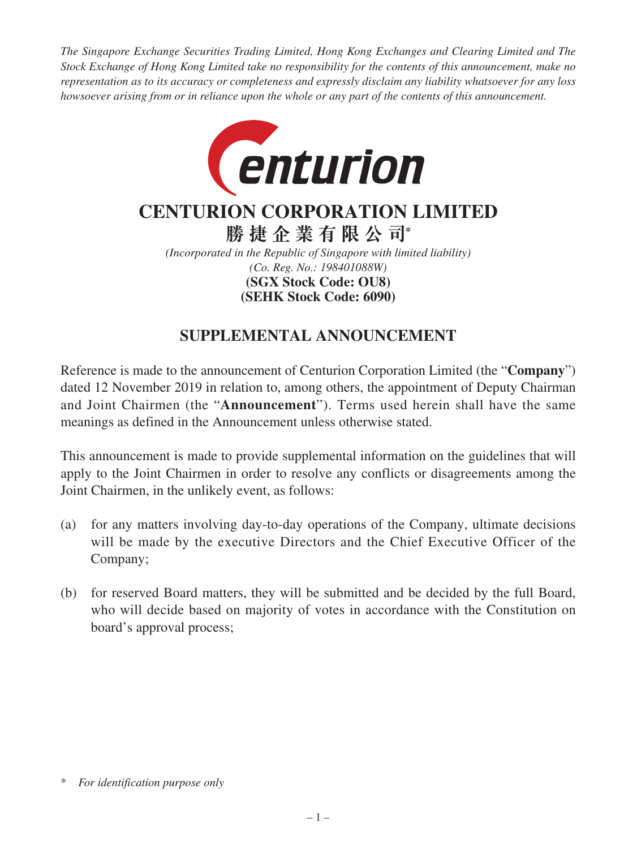*The Singapore Exchange Securities Trading Limited, Hong Kong Exchanges and Clearing Limited and The Stock Exchange of Hong Kong Limited take no responsibility for the contents of this announcement, make no representation as to its accuracy or completeness and expressly disclaim any liability whatsoever for any loss howsoever arising from or in reliance upon the whole or any part of the contents of this announcement.*



## **CENTURION CORPORATION LIMITED**

**勝捷企業有限公司\***

*(Incorporated in the Republic of Singapore with limited liability) (Co. Reg. No.: 198401088W)* **(SEHK Stock Code: 6090) (SGX Stock Code: OU8)**

## **SUPPLEMENTAL ANNOUNCEMENT**

Reference is made to the announcement of Centurion Corporation Limited (the "**Company**") dated 12 November 2019 in relation to, among others, the appointment of Deputy Chairman and Joint Chairmen (the "**Announcement**"). Terms used herein shall have the same meanings as defined in the Announcement unless otherwise stated.

This announcement is made to provide supplemental information on the guidelines that will apply to the Joint Chairmen in order to resolve any conflicts or disagreements among the Joint Chairmen, in the unlikely event, as follows:

- (a) for any matters involving day-to-day operations of the Company, ultimate decisions will be made by the executive Directors and the Chief Executive Officer of the Company;
- (b) for reserved Board matters, they will be submitted and be decided by the full Board, who will decide based on majority of votes in accordance with the Constitution on board's approval process;

<sup>\*</sup> *For identification purpose only*